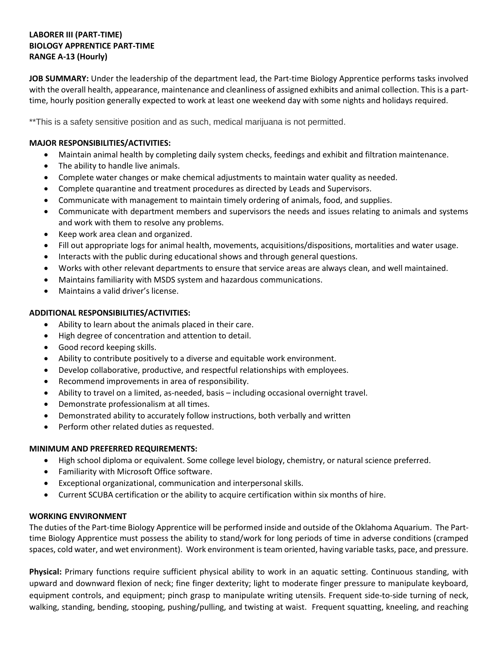# **LABORER III (PART-TIME) BIOLOGY APPRENTICE PART-TIME RANGE A-13 (Hourly)**

**JOB SUMMARY:** Under the leadership of the department lead, the Part-time Biology Apprentice performs tasks involved with the overall health, appearance, maintenance and cleanliness of assigned exhibits and animal collection. This is a parttime, hourly position generally expected to work at least one weekend day with some nights and holidays required.

\*\*This is a safety sensitive position and as such, medical marijuana is not permitted.

# **MAJOR RESPONSIBILITIES/ACTIVITIES:**

- Maintain animal health by completing daily system checks, feedings and exhibit and filtration maintenance.
- The ability to handle live animals.
- Complete water changes or make chemical adjustments to maintain water quality as needed.
- Complete quarantine and treatment procedures as directed by Leads and Supervisors.
- Communicate with management to maintain timely ordering of animals, food, and supplies.
- Communicate with department members and supervisors the needs and issues relating to animals and systems and work with them to resolve any problems.
- Keep work area clean and organized.
- Fill out appropriate logs for animal health, movements, acquisitions/dispositions, mortalities and water usage.
- Interacts with the public during educational shows and through general questions.
- Works with other relevant departments to ensure that service areas are always clean, and well maintained.
- Maintains familiarity with MSDS system and hazardous communications.
- Maintains a valid driver's license.

### **ADDITIONAL RESPONSIBILITIES/ACTIVITIES:**

- Ability to learn about the animals placed in their care.
- High degree of concentration and attention to detail.
- Good record keeping skills.
- Ability to contribute positively to a diverse and equitable work environment.
- Develop collaborative, productive, and respectful relationships with employees.
- Recommend improvements in area of responsibility.
- Ability to travel on a limited, as-needed, basis including occasional overnight travel.
- Demonstrate professionalism at all times.
- Demonstrated ability to accurately follow instructions, both verbally and written
- Perform other related duties as requested.

### **MINIMUM AND PREFERRED REQUIREMENTS:**

- High school diploma or equivalent. Some college level biology, chemistry, or natural science preferred.
- Familiarity with Microsoft Office software.
- Exceptional organizational, communication and interpersonal skills.
- Current SCUBA certification or the ability to acquire certification within six months of hire.

### **WORKING ENVIRONMENT**

The duties of the Part-time Biology Apprentice will be performed inside and outside of the Oklahoma Aquarium. The Parttime Biology Apprentice must possess the ability to stand/work for long periods of time in adverse conditions (cramped spaces, cold water, and wet environment). Work environment is team oriented, having variable tasks, pace, and pressure.

**Physical:** Primary functions require sufficient physical ability to work in an aquatic setting. Continuous standing, with upward and downward flexion of neck; fine finger dexterity; light to moderate finger pressure to manipulate keyboard, equipment controls, and equipment; pinch grasp to manipulate writing utensils. Frequent side-to-side turning of neck, walking, standing, bending, stooping, pushing/pulling, and twisting at waist. Frequent squatting, kneeling, and reaching